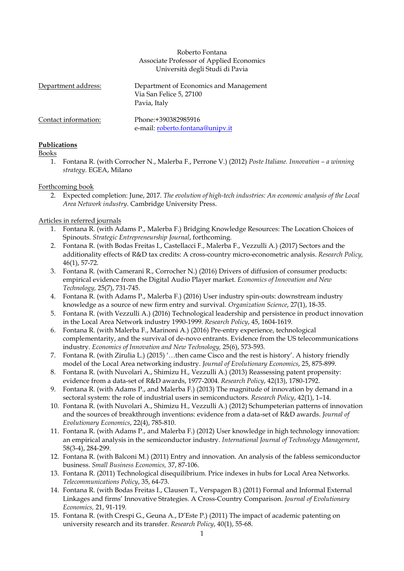### Roberto Fontana Associate Professor of Applied Economics Università degli Studi di Pavia

| Department address:  | Department of Economics and Management<br>Via San Felice 5, 27100<br>Pavia, Italy |  |
|----------------------|-----------------------------------------------------------------------------------|--|
| Contact information: | Phone:+390382985916<br>e-mail: roberto.fontana@unipv.it                           |  |

# **Publications**

Books

1. Fontana R. (with Corrocher N., Malerba F., Perrone V.) (2012) *Poste Italiane. Innovation – a winning strategy*. EGEA, Milano

### Forthcoming book

2. Expected completion: June, 2017. *The evolution of high-tech industries: An economic analysis of the Local Area Network industry*. Cambridge University Press.

# Articles in referred journals

- 1. Fontana R. (with Adams P., Malerba F.) Bridging Knowledge Resources: The Location Choices of Spinouts. *Strategic Entrepreneurship Journal*, forthcoming.
- 2. Fontana R. (with Bodas Freitas I., Castellacci F., Malerba F., Vezzulli A.) (2017) Sectors and the additionality effects of R&D tax credits: A cross-country micro-econometric analysis. *Research Policy,*  46(1), 57-72.
- 3. Fontana R. (with Camerani R., Corrocher N.) (2016) Drivers of diffusion of consumer products: empirical evidence from the Digital Audio Player market. *Economics of Innovation and New Technology,* 25(7), 731-745.
- 4. Fontana R. (with Adams P., Malerba F.) (2016) User industry spin-outs: downstream industry knowledge as a source of new firm entry and survival. *Organization Science*, 27(1), 18-35.
- 5. Fontana R. (with Vezzulli A.) (2016) Technological leadership and persistence in product innovation in the Local Area Network industry 1990-1999. *Research Policy*, 45, 1604-1619.
- 6. Fontana R. (with Malerba F., Marinoni A.) (2016) Pre-entry experience, technological complementarity, and the survival of de-novo entrants. Evidence from the US telecommunications industry. *Economics of Innovation and New Technology,* 25(6), 573-593*.*
- 7. Fontana R. (with Zirulia L.) (2015) '…then came Cisco and the rest is history'. A history friendly model of the Local Area networking industry. *Journal of Evolutionary Economics*, 25, 875-899.
- 8. Fontana R. (with Nuvolari A., Shimizu H., Vezzulli A.) (2013) Reassessing patent propensity: evidence from a data-set of R&D awards, 1977-2004. *Research Policy*, 42(13), 1780-1792.
- 9. Fontana R. (with Adams P., and Malerba F.) (2013) The magnitude of innovation by demand in a sectoral system: the role of industrial users in semiconductors. *Research Policy*, 42(1), 1–14.
- 10. Fontana R. (with Nuvolari A., Shimizu H., Vezzulli A.) (2012) Schumpeterian patterns of innovation and the sources of breakthrough inventions: evidence from a data-set of R&D awards. *Journal of Evolutionary Economics*, 22(4), 785-810.
- 11. Fontana R. (with Adams P., and Malerba F.) (2012) User knowledge in high technology innovation: an empirical analysis in the semiconductor industry. *International Journal of Technology Management*, 58(3-4), 284-299.
- 12. Fontana R. (with Balconi M.) (2011) Entry and innovation. An analysis of the fabless semiconductor business. *Small Business Economics,* 37, 87-106.
- 13. Fontana R. (2011) Technological disequilibrium. Price indexes in hubs for Local Area Networks. *Telecommunications Policy*, 35, 64-73.
- 14. Fontana R. (with Bodas Freitas I., Clausen T., Verspagen B.) (2011) Formal and Informal External Linkages and firms' Innovative Strategies. A Cross-Country Comparison. *Journal of Evolutionary Economics,* 21, 91-119*.*
- 15. Fontana R. (with Crespi G., Geuna A., D'Este P.) (2011) The impact of academic patenting on university research and its transfer. *Research Policy*, 40(1), 55-68.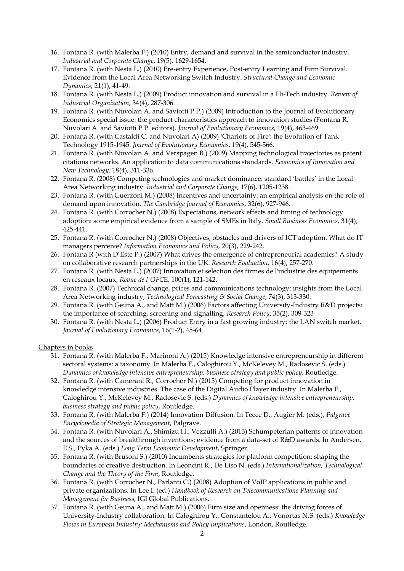- 16. Fontana R. (with Malerba F.) (2010) Entry, demand and survival in the semiconductor industry. *Industrial and Corporate Change*, 19(5), 1629-1654.
- 17. Fontana R. (with Nesta L.) (2010) Pre-entry Experience, Post-entry Learning and Firm Survival. Evidence from the Local Area Networking Switch Industry. *Structural Change and Economic Dynamics*, 21(1), 41-49.
- 18. Fontana R. (with Nesta L.) (2009) Product innovation and survival in a Hi-Tech industry. *Review of Industrial Organization*, 34(4), 287-306.
- 19. Fontana R. (with Nuvolari A. and Saviotti P.P.) (2009) Introduction to the Journal of Evolutionary Economics special issue: the product characteristics approach to innovation studies (Fontana R. Nuvolari A. and Saviotti P.P. editors). *Journal of Evolutionary Economics*, 19(4), 463-469.
- 20. Fontana R. (with Castaldi C. and Nuvolari A) (2009) 'Chariots of Fire': the Evolution of Tank Technology 1915-1945. *Journal of Evolutionary Economics*, 19(4), 545-566.
- 21. Fontana R. (with Nuvolari A. and Verspagen B.) (2009) Mapping technological trajectories as patent citations networks. An application to data communications standards. *Economics of Innovation and New Technology,* 18(4), 311-336.
- 22. Fontana R. (2008) Competing technologies and market dominance: standard 'battles' in the Local Area Networking industry. *Industrial and Corporate Change,* 17(6), 1205-1238.
- 23. Fontana R. (with Guerzoni M.) (2008) Incentives and uncertainty: an empirical analysis on the role of demand upon innovation. *The Cambridge Journal of Economics,* 32(6), 927-946.
- 24. Fontana R. (with Corrocher N.) (2008) Expectations, network effects and timing of technology adoption: some empirical evidence from a sample of SMEs in Italy. *Small Business Economics,* 31(4), 425-441*.*
- 25. Fontana R. (with Corrocher N.) (2008) Objectives, obstacles and drivers of ICT adoption. What do IT managers perceive? *Information Economics and Policy,* 20(3), 229-242.
- 26. Fontana R (with D'Este P.) (2007) What drives the emergence of entrepreneurial academics? A study on collaborative research partnerships in the UK. *Research Evaluation*, 16(4), 257-270.
- 27. Fontana R. (with Nesta L.) (2007) Innovation et selection des firmes de l'industrie des equipements en reseaux locaux, *Revue de l'OFC*E, 100(1), 121-142.
- 28. Fontana R. (2007) Technical change, prices and communications technology: insights from the Local Area Networking industry, *Technological Forecasting & Social Change*, 74(3), 313-330.
- 29. Fontana R. (with Geuna A., and Matt M.) (2006) Factors affecting University-Industry R&D projects: the importance of searching, screening and signalling, *Research Policy*, 35(2), 309-323
- 30. Fontana R. (with Nesta L.) (2006) Product Entry in a fast growing industry: the LAN switch market, *Journal of Evolutionary Economics*, 16(1-2), 45-64

### Chapters in books

- 31. Fontana R. (with Malerba F., Marinoni A.) (2015) Knowledge intensive entrepreneurship in different sectoral systems: a taxonomy. In Malerba F., Caloghirou Y., McKelevey M., Radosevic S. (eds.) *Dynamics of knowledge intensive entrepreneurship: business strategy and public policy*, Routledge.
- 32. Fontana R. (with Camerani R., Corrocher N.) (2015) Competing for product innovation in knowledge intensive industries. The case of the Digital Audio Player industry. In Malerba F., Caloghirou Y., McKelevey M., Radosevic S. (eds.) *Dynamics of knowledge intensive entrepreneurship: business strategy and public policy*, Routledge.
- 33. Fontana R. (with Malerba F.) (2014) Innovation Diffusion. In Teece D., Augier M. (eds.), *Palgrave Encyclopedia of Strategic Management*, Palgrave.
- 34. Fontana R. (with Nuvolari A., Shimizu H., Vezzulli A.) (2013) Schumpeterian patterns of innovation and the sources of breakthrough inventions: evidence from a data-set of R&D awards. In Andersen, E.S., Pyka A. (eds.) *Long Term Economic Development*, Springer.
- 35. Fontana R. (with Brusoni S.) (2010) Incumbents strategies for platform competition: shaping the boundaries of creative destruction. In Leoncini R., De Liso N. (eds.) *Internationalization, Technological Change and the Theory of the Firm*, Routledge.
- 36. Fontana R. (with Corrocher N., Parlanti C.) (2008) Adoption of VoIP applications in public and private organizations. In Lee I. (ed.) *Handbook of Research on Telecommunications Planning and Management for Business,* IGI Global Publications.
- 37. Fontana R. (with Geuna A., and Matt M.) (2006) Firm size and openness: the driving forces of University-Industry collaboration. In Caloghirou Y., Constantelou A., Vonortas N.S. (eds.) *Knowledge Flows in European Industry: Mechanisms and Policy Implications*, London, Routledge.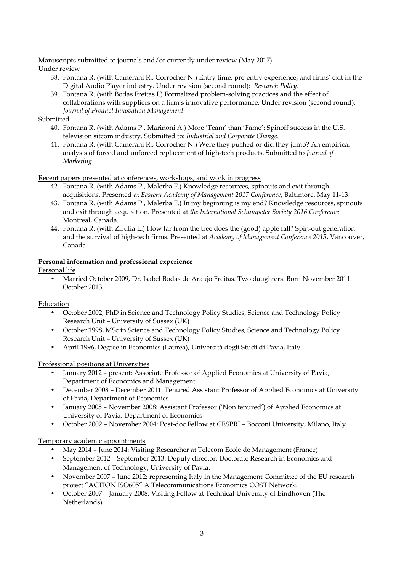### Manuscripts submitted to journals and/or currently under review (May 2017)

### Under review

- 38. Fontana R. (with Camerani R., Corrocher N.) Entry time, pre-entry experience, and firms' exit in the Digital Audio Player industry. Under revision (second round): *Research Policy*.
- 39. Fontana R. (with Bodas Freitas I.) Formalized problem-solving practices and the effect of collaborations with suppliers on a firm's innovative performance. Under revision (second round): *Journal of Product Innovation Management.*

### Submitted

- 40. Fontana R. (with Adams P., Marinoni A.) More 'Team' than 'Fame': Spinoff success in the U.S. television sitcom industry. Submitted to: *Industrial and Corporate Change*.
- 41. Fontana R. (with Camerani R., Corrocher N.) Were they pushed or did they jump? An empirical analysis of forced and unforced replacement of high-tech products. Submitted to *Journal of Marketing*.

Recent papers presented at conferences, workshops, and work in progress

- 42. Fontana R. (with Adams P., Malerba F.) Knowledge resources, spinouts and exit through acquisitions. Presented at *Eastern Academy of Management 2017 Conference*, Baltimore, May 11-13.
- 43. Fontana R. (with Adams P., Malerba F.) In my beginning is my end? Knowledge resources, spinouts and exit through acquisition. Presented at *the International Schumpeter Society 2016 Conference* Montreal, Canada.
- 44. Fontana R. (with Zirulia L.) How far from the tree does the (good) apple fall? Spin-out generation and the survival of high-tech firms. Presented at *Academy of Management Conference 2015*, Vancouver, Canada.

# **Personal information and professional experience**

# Personal life

• Married October 2009, Dr. Isabel Bodas de Araujo Freitas. Two daughters. Born November 2011. October 2013.

# Education

- October 2002, PhD in Science and Technology Policy Studies, Science and Technology Policy Research Unit – University of Sussex (UK)
- October 1998, MSc in Science and Technology Policy Studies, Science and Technology Policy Research Unit – University of Sussex (UK)
- April 1996, Degree in Economics (Laurea), Università degli Studi di Pavia, Italy.

# Professional positions at Universities

- January 2012 present: Associate Professor of Applied Economics at University of Pavia, Department of Economics and Management
- December 2008 December 2011: Tenured Assistant Professor of Applied Economics at University of Pavia, Department of Economics
- January 2005 November 2008: Assistant Professor ('Non tenured') of Applied Economics at University of Pavia, Department of Economics
- October 2002 November 2004: Post-doc Fellow at CESPRI Bocconi University, Milano, Italy

# Temporary academic appointments

- May 2014 June 2014: Visiting Researcher at Telecom Ecole de Management (France)
- September 2012 September 2013: Deputy director, Doctorate Research in Economics and Management of Technology, University of Pavia.
- November 2007 June 2012: representing Italy in the Management Committee of the EU research project "ACTION ISO605" A Telecommunications Economics COST Network.
- October 2007 January 2008: Visiting Fellow at Technical University of Eindhoven (The Netherlands)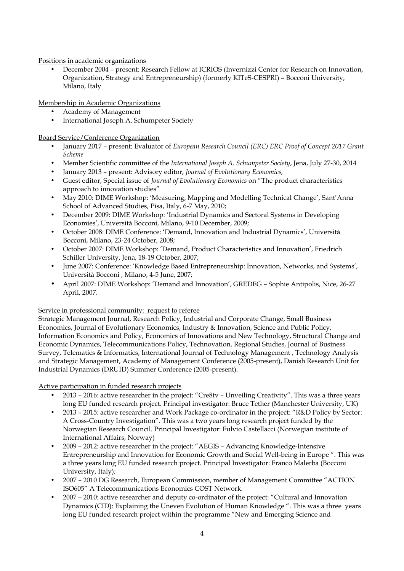# Positions in academic organizations

• December 2004 – present: Research Fellow at ICRIOS (Invernizzi Center for Research on Innovation, Organization, Strategy and Entrepreneurship) (formerly KITeS-CESPRI) – Bocconi University, Milano, Italy

Membership in Academic Organizations

- Academy of Management
- International Joseph A. Schumpeter Society

Board Service/Conference Organization

- January 2017 present: Evaluator of *European Research Council (ERC) ERC Proof of Concept 2017 Grant Scheme*
- Member Scientific committee of the *International Joseph A. Schumpeter Society*, Jena, July 27-30, 2014
- January 2013 present: Advisory editor, *Journal of Evolutionary Economics,*
- Guest editor, Special issue of *Journal of Evolutionary Economics* on "The product characteristics approach to innovation studies"
- May 2010: DIME Workshop: 'Measuring, Mapping and Modelling Technical Change', Sant'Anna School of Advanced Studies, Pisa, Italy, 6-7 May, 2010;
- December 2009: DIME Workshop: 'Industrial Dynamics and Sectoral Systems in Developing Economies', Università Bocconi, Milano, 9-10 December, 2009;
- October 2008: DIME Conference: 'Demand, Innovation and Industrial Dynamics', Università Bocconi, Milano, 23-24 October, 2008;
- October 2007: DIME Workshop: 'Demand, Product Characteristics and Innovation', Friedrich Schiller University, Jena, 18-19 October, 2007;
- June 2007: Conference: 'Knowledge Based Entrepreneurship: Innovation, Networks, and Systems', Università Bocconi , Milano, 4-5 June, 2007;
- April 2007: DIME Workshop: 'Demand and Innovation', GREDEG Sophie Antipolis, Nice, 26-27 April, 2007.

# Service in professional community: request to referee

Strategic Management Journal, Research Policy, Industrial and Corporate Change, Small Business Economics, Journal of Evolutionary Economics, Industry & Innovation, Science and Public Policy, Information Economics and Policy, Economics of Innovations and New Technology, Structural Change and Economic Dynamics, Telecommunications Policy, Technovation, Regional Studies, Journal of Business Survey, Telematics & Informatics, International Journal of Technology Management , Technology Analysis and Strategic Management, Academy of Management Conference (2005-present), Danish Research Unit for Industrial Dynamics (DRUID) Summer Conference (2005-present).

### Active participation in funded research projects

- 2013 2016: active researcher in the project: "Cre8tv Unveiling Creativity". This was a three years long EU funded research project. Principal investigator: Bruce Tether (Manchester University, UK)
- 2013 2015: active researcher and Work Package co-ordinator in the project: "R&D Policy by Sector: A Cross-Country Investigation". This was a two years long research project funded by the Norwegian Research Council. Principal Investigator: Fulvio Castellacci (Norwegian institute of International Affairs, Norway)
- 2009 2012: active researcher in the project: "AEGIS Advancing Knowledge-Intensive Entrepreneurship and Innovation for Economic Growth and Social Well-being in Europe ". This was a three years long EU funded research project. Principal Investigator: Franco Malerba (Bocconi University, Italy);
- 2007 2010 DG Research, European Commission, member of Management Committee "ACTION ISO605" A Telecommunications Economics COST Network.
- 2007 2010: active researcher and deputy co-ordinator of the project: "Cultural and Innovation Dynamics (CID): Explaining the Uneven Evolution of Human Knowledge ". This was a three years long EU funded research project within the programme "New and Emerging Science and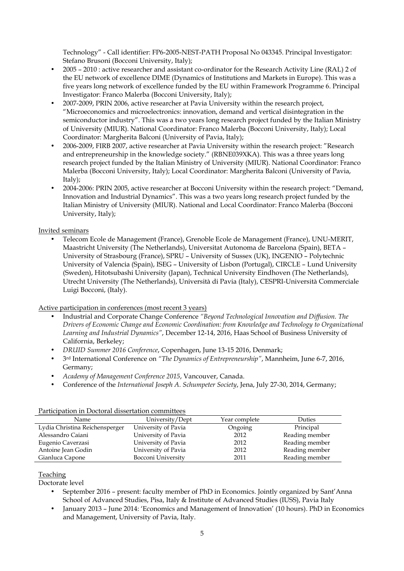Technology" - Call identifier: FP6-2005-NEST-PATH Proposal No 043345. Principal Investigator: Stefano Brusoni (Bocconi University, Italy);

- 2005 2010 : active researcher and assistant co-ordinator for the Research Activity Line (RAL) 2 of the EU network of excellence DIME (Dynamics of Institutions and Markets in Europe). This was a five years long network of excellence funded by the EU within Framework Programme 6. Principal Investigator: Franco Malerba (Bocconi University, Italy);
- 2007-2009, PRIN 2006, active researcher at Pavia University within the research project, "Microeconomics and microelectronics: innovation, demand and vertical disintegration in the semiconductor industry". This was a two years long research project funded by the Italian Ministry of University (MIUR). National Coordinator: Franco Malerba (Bocconi University, Italy); Local Coordinator: Margherita Balconi (University of Pavia, Italy);
- 2006-2009, FIRB 2007, active researcher at Pavia University within the research project: "Research and entrepreneurship in the knowledge society." (RBNE039XKA). This was a three years long research project funded by the Italian Ministry of University (MIUR). National Coordinator: Franco Malerba (Bocconi University, Italy); Local Coordinator: Margherita Balconi (University of Pavia, Italy);
- 2004-2006: PRIN 2005, active researcher at Bocconi University within the research project: "Demand, Innovation and Industrial Dynamics". This was a two years long research project funded by the Italian Ministry of University (MIUR). National and Local Coordinator: Franco Malerba (Bocconi University, Italy);

# Invited seminars

• Telecom Ecole de Management (France), Grenoble Ecole de Management (France), UNU-MERIT, Maastricht University (The Netherlands), Universitat Autonoma de Barcelona (Spain), BETA – University of Strasbourg (France), SPRU – University of Sussex (UK), INGENIO – Polytechnic University of Valencia (Spain), ISEG – University of Lisbon (Portugal), CIRCLE – Lund University (Sweden), Hitotsubashi University (Japan), Technical University Eindhoven (The Netherlands), Utrecht University (The Netherlands), Università di Pavia (Italy), CESPRI-Università Commerciale Luigi Bocconi, (Italy).

Active participation in conferences (most recent 3 years)

- Industrial and Corporate Change Conference *"Beyond Technological Innovation and Diffusion. The Drivers of Economic Change and Economic Coordination: from Knowledge and Technology to Organizational Learning and Industrial Dynamics"*, December 12-14, 2016, Haas School of Business University of California, Berkeley;
- *DRUID Summer 2016 Conference*, Copenhagen, June 13-15 2016, Denmark;
- 3 rd International Conference on *"The Dynamics of Entrepreneurship"*, Mannheim, June 6-7, 2016, Germany;
- *Academy of Management Conference 2015*, Vancouver, Canada.
- Conference of the *International Joseph A. Schumpeter Society*, Jena, July 27-30, 2014, Germany;

| I articipation in Boctoral alboeration committees |                     |               |                |  |
|---------------------------------------------------|---------------------|---------------|----------------|--|
| Name                                              | University/Dept     | Year complete | Duties         |  |
| Lydia Christina Reichensperger                    | University of Pavia | Ongoing       | Principal      |  |
| Alessandro Caiani                                 | University of Pavia | 2012          | Reading member |  |
| Eugenio Caverzasi                                 | University of Pavia | 2012          | Reading member |  |
| Antoine Jean Godin                                | University of Pavia | 2012          | Reading member |  |
| Gianluca Capone                                   | Bocconi University  | 2011          | Reading member |  |

#### Participation in Doctoral dissertation committees

### Teaching

Doctorate level

- September 2016 present: faculty member of PhD in Economics. Jointly organized by Sant'Anna School of Advanced Studies, Pisa, Italy & Institute of Advanced Studies (IUSS), Pavia Italy
- January 2013 June 2014: 'Economics and Management of Innovation' (10 hours). PhD in Economics and Management, University of Pavia, Italy.